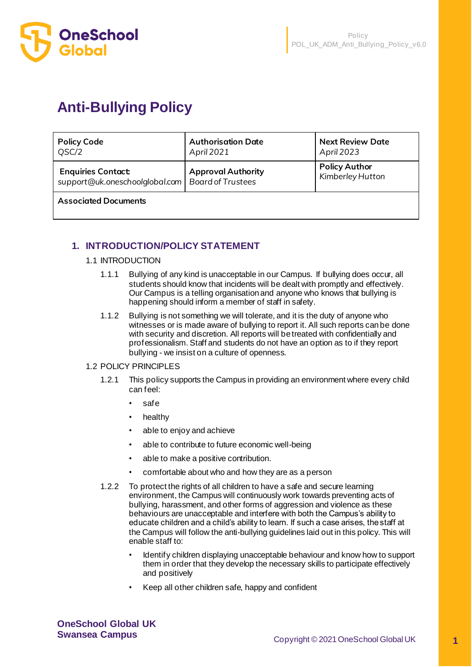

# **Anti-Bullying Policy**

| <b>Policy Code</b>                                                              | <b>Authorisation Date</b> | <b>Next Review Date</b>                  |
|---------------------------------------------------------------------------------|---------------------------|------------------------------------------|
| QSC/2                                                                           | April 2021                | April 2023                               |
| <b>Enquiries Contact:</b><br>support@uk.oneschoolglobal.com   Board of Trustees | <b>Approval Authority</b> | <b>Policy Author</b><br>Kimberley Hutton |

**Associated Documents** 

# **1. INTRODUCTION/POLICY STATEMENT**

#### 1.1 INTRODUCTION

- 1.1.1 Bullying of any kind is unacceptable in our Campus. If bullying does occur, all students should know that incidents will be dealt with promptly and effectively. Our Campus is a telling organisation and anyone who knows that bullying is happening should inform a member of staff in safety.
- 1.1.2 Bullying is not something we will tolerate, and it is the duty of anyone who witnesses or is made aware of bullying to report it. All such reports can be done with security and discretion. All reports will be treated with confidentially and professionalism. Staff and students do not have an option as to if they report bullying - we insist on a culture of openness.

#### 1.2 POLICY PRINCIPLES

- 1.2.1 This policy supports the Campus in providing an environment where every child can feel:
	- safe
	- healthy
	- able to enjoy and achieve
	- able to contribute to future economic well-being
	- able to make a positive contribution.
	- comfortable about who and how they are as a person
- 1.2.2 To protect the rights of all children to have a safe and secure learning environment, the Campus will continuously work towards preventing acts of bullying, harassment, and other forms of aggression and violence as these behaviours are unacceptable and interfere with both the Campus's ability to educate children and a child's ability to learn. If such a case arises, the staff at the Campus will follow the anti-bullying guidelines laid out in this policy. This will enable staff to:
	- Identify children displaying unacceptable behaviour and know how to support them in order that they develop the necessary skills to participate effectively and positively
	- Keep all other children safe, happy and confident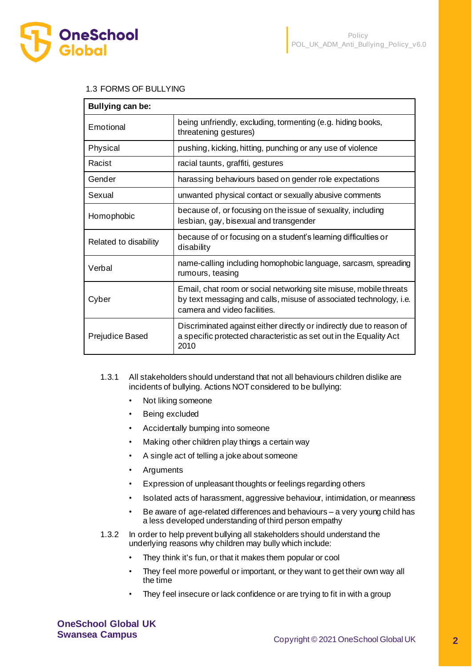

#### 1.3 FORMS OF BULLYING

| Bullying can be:      |                                                                                                                                                                         |
|-----------------------|-------------------------------------------------------------------------------------------------------------------------------------------------------------------------|
| Emotional             | being unfriendly, excluding, tormenting (e.g. hiding books,<br>threatening gestures)                                                                                    |
| Physical              | pushing, kicking, hitting, punching or any use of violence                                                                                                              |
| Racist                | racial taunts, graffiti, gestures                                                                                                                                       |
| Gender                | harassing behaviours based on gender role expectations                                                                                                                  |
| Sexual                | unwanted physical contact or sexually abusive comments                                                                                                                  |
| Homophobic            | because of, or focusing on the issue of sexuality, including<br>lesbian, gay, bisexual and transgender                                                                  |
| Related to disability | because of or focusing on a student's learning difficulties or<br>disability                                                                                            |
| Verbal                | name-calling including homophobic language, sarcasm, spreading<br>rumours, teasing                                                                                      |
| Cyber                 | Email, chat room or social networking site misuse, mobile threats<br>by text messaging and calls, misuse of associated technology, i.e.<br>camera and video facilities. |
| Prejudice Based       | Discriminated against either directly or indirectly due to reason of<br>a specific protected characteristic as set out in the Equality Act<br>2010                      |

- 1.3.1 All stakeholders should understand that not all behaviours children dislike are incidents of bullying. Actions NOT considered to be bullying:
	- Not liking someone
	- Being excluded
	- Accidentally bumping into someone
	- Making other children play things a certain way
	- A single act of telling a joke about someone
	- **Arguments**
	- Expression of unpleasant thoughts or feelings regarding others
	- Isolated acts of harassment, aggressive behaviour, intimidation, or meanness
	- Be aware of age-related differences and behaviours a very young child has a less developed understanding of third person empathy
- 1.3.2 In order to help prevent bullying all stakeholders should understand the underlying reasons why children may bully which include:
	- They think it's fun, or that it makes them popular or cool
	- They feel more powerful or important, or they want to get their own way all the time
	- They feel insecure or lack confidence or are trying to fit in with a group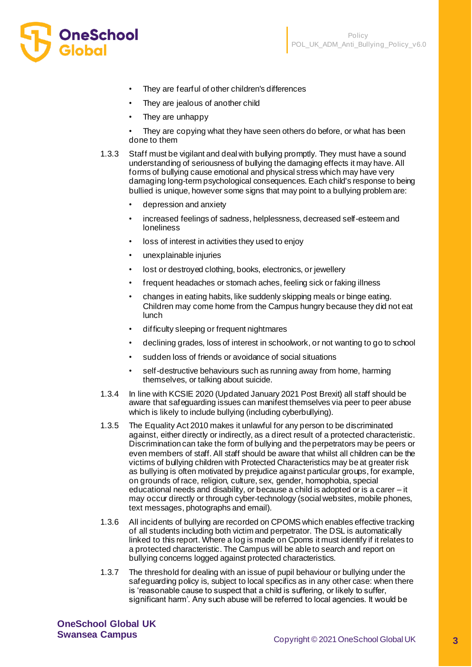

- They are fearful of other children's differences
- They are jealous of another child
- They are unhappy
- They are copying what they have seen others do before, or what has been done to them
- 1.3.3 Staff must be vigilant and deal with bullying promptly. They must have a sound understanding of seriousness of bullying the damaging effects it may have. All forms of bullying cause emotional and physical stress which may have very damaging long-term psychological consequences. Each child's response to being bullied is unique, however some signs that may point to a bullying problem are:
	- depression and anxiety
	- increased feelings of sadness, helplessness, decreased self-esteem and loneliness
	- loss of interest in activities they used to enjoy
	- unexplainable injuries
	- lost or destroyed clothing, books, electronics, or jewellery
	- frequent headaches or stomach aches, feeling sick or faking illness
	- changes in eating habits, like suddenly skipping meals or binge eating. Children may come home from the Campus hungry because they did not eat lunch
	- difficulty sleeping or frequent nightmares
	- declining grades, loss of interest in schoolwork, or not wanting to go to school
	- sudden loss of friends or avoidance of social situations
	- self-destructive behaviours such as running away from home, harming themselves, or talking about suicide.
- 1.3.4 In line with KCSIE 2020 (Updated January 2021 Post Brexit) all staff should be aware that safeguarding issues can manifest themselves via peer to peer abuse which is likely to include bullying (including cyberbullying).
- 1.3.5 The Equality Act 2010 makes it unlawful for any person to be discriminated against, either directly or indirectly, as a direct result of a protected characteristic. Discrimination can take the form of bullying and the perpetrators may be peers or even members of staff. All staff should be aware that whilst all children can be the victims of bullying children with Protected Characteristics may be at greater risk as bullying is often motivated by prejudice against particular groups, for example, on grounds of race, religion, culture, sex, gender, homophobia, special educational needs and disability, or because a child is adopted or is a carer – it may occur directly or through cyber-technology (social websites, mobile phones, text messages, photographs and email).
- 1.3.6 All incidents of bullying are recorded on CPOMS which enables effective tracking of all students including both victim and perpetrator. The DSL is automatically linked to this report. Where a log is made on Cpoms it must identify if it relates to a protected characteristic. The Campus will be able to search and report on bullying concerns logged against protected characteristics.
- 1.3.7 The threshold for dealing with an issue of pupil behaviour or bullying under the safeguarding policy is, subject to local specifics as in any other case: when there is 'reasonable cause to suspect that a child is suffering, or likely to suffer, significant harm'. Any such abuse will be referred to local agencies. It would be

**OneSchool Global UK**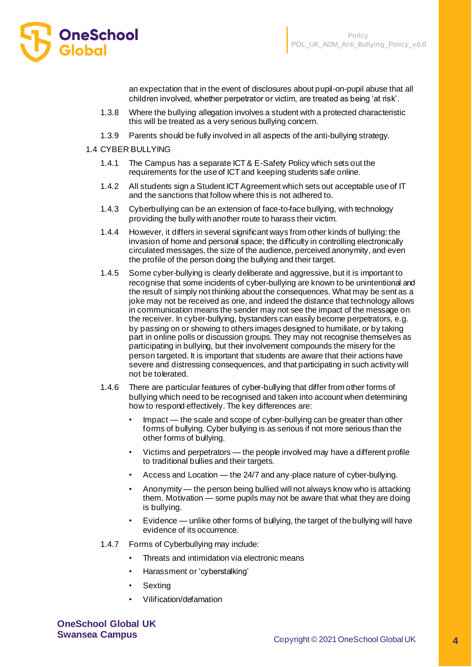

an expectation that in the event of disclosures about pupil-on-pupil abuse that all children involved, whether perpetrator or victim, are treated as being 'at risk'.

- 1.3.8 Where the bullying allegation involves a student with a protected characteristic this will be treated as a very serious bullying concern.
- 1.3.9 Parents should be fully involved in all aspects of the anti-bullying strategy.
- 1.4 CYBER BULLYING
	- 1.4.1 The Campus has a separate ICT & E-Safety Policy which sets out the requirements for the use of ICT and keeping students safe online.
	- 1.4.2 All students sign a Student ICT Agreement which sets out acceptable use of IT and the sanctions that follow where this is not adhered to.
	- 1.4.3 Cyberbullying can be an extension of face-to-face bullying, with technology providing the bully with another route to harass their victim.
	- 1.4.4 However, it differs in several significant ways from other kinds of bullying: the invasion of home and personal space; the difficulty in controlling electronically circulated messages, the size of the audience, perceived anonymity, and even the profile of the person doing the bullying and their target.
	- 1.4.5 Some cyber-bullying is clearly deliberate and aggressive, but it is important to recognise that some incidents of cyber-bullying are known to be unintentional and the result of simply not thinking about the consequences. What may be sent as a joke may not be received as one, and indeed the distance that technology allows in communication means the sender may not see the impact of the message on the receiver. In cyber-bullying, bystanders can easily become perpetrators, e.g. by passing on or showing to others images designed to humiliate, or by taking part in online polls or discussion groups. They may not recognise themselves as participating in bullying, but their involvement compounds the misery for the person targeted. It is important that students are aware that their actions have severe and distressing consequences, and that participating in such activity will not be tolerated.
	- 1.4.6 There are particular features of cyber-bullying that differ from other forms of bullying which need to be recognised and taken into account when determining how to respond effectively. The key differences are:
		- Impact the scale and scope of cyber-bullying can be greater than other forms of bullying. Cyber bullying is as serious if not more serious than the other forms of bullying.
		- Victims and perpetrators the people involved may have a different profile to traditional bullies and their targets.
		- Access and Location the 24/7 and any-place nature of cyber-bullying.
		- Anonymity the person being bullied will not always know who is attacking them. Motivation — some pupils may not be aware that what they are doing is bullying.
		- Evidence unlike other forms of bullying, the target of the bullying will have evidence of its occurrence.
	- 1.4.7 Forms of Cyberbullying may include:
		- Threats and intimidation via electronic means
		- Harassment or 'cyberstalking'
		- **Sexting**
		- Vilification/defamation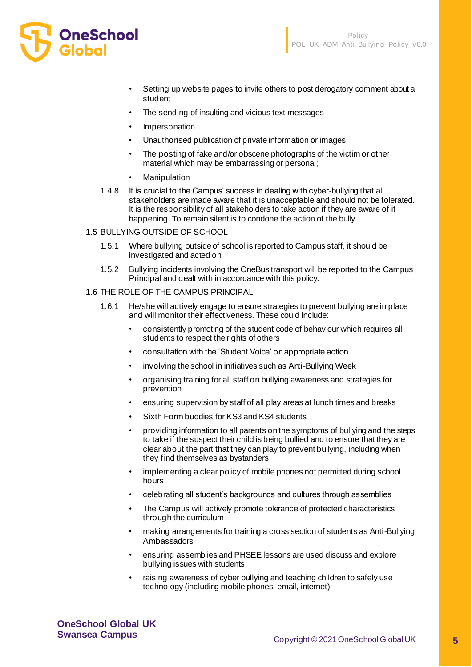

- Setting up website pages to invite others to post derogatory comment about a student
- The sending of insulting and vicious text messages
- **Impersonation**
- Unauthorised publication of private information or images
- The posting of fake and/or obscene photographs of the victim or other material which may be embarrassing or personal;
- **Manipulation**
- 1.4.8 It is crucial to the Campus' success in dealing with cyber-bullying that all stakeholders are made aware that it is unacceptable and should not be tolerated. It is the responsibility of all stakeholders to take action if they are aware of it happening. To remain silent is to condone the action of the bully.

#### 1.5 BULLYING OUTSIDE OF SCHOOL

- 1.5.1 Where bullying outside of school is reported to Campus staff, it should be investigated and acted on.
- 1.5.2 Bullying incidents involving the OneBus transport will be reported to the Campus Principal and dealt with in accordance with this policy.
- 1.6 THE ROLE OF THE CAMPUS PRINCIPAL
	- 1.6.1 He/she will actively engage to ensure strategies to prevent bullying are in place and will monitor their effectiveness. These could include:
		- consistently promoting of the student code of behaviour which requires all students to respect the rights of others
		- consultation with the 'Student Voice' on appropriate action
		- involving the school in initiatives such as Anti-Bullying Week
		- organising training for all staff on bullying awareness and strategies for prevention
		- ensuring supervision by staff of all play areas at lunch times and breaks
		- Sixth Form buddies for KS3 and KS4 students
		- providing information to all parents on the symptoms of bullying and the steps to take if the suspect their child is being bullied and to ensure that they are clear about the part that they can play to prevent bullying, including when they find themselves as bystanders
		- implementing a clear policy of mobile phones not permitted during school hours
		- celebrating all student's backgrounds and cultures through assemblies
		- The Campus will actively promote tolerance of protected characteristics through the curriculum
		- making arrangements for training a cross section of students as Anti-Bullying Ambassadors
		- ensuring assemblies and PHSEE lessons are used discuss and explore bullying issues with students
		- raising awareness of cyber bullying and teaching children to safely use technology (including mobile phones, email, internet)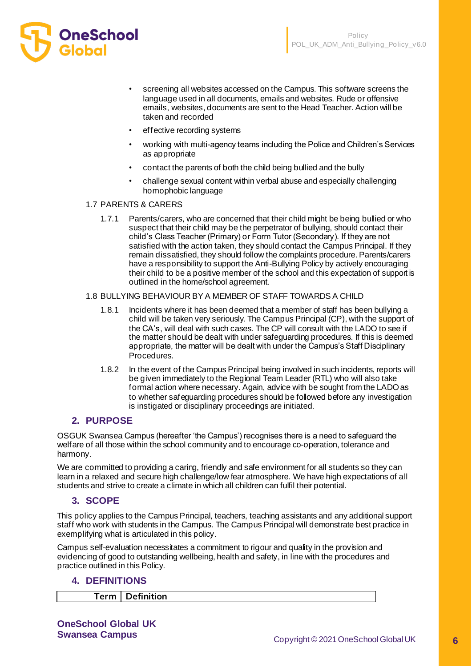

- screening all websites accessed on the Campus. This software screens the language used in all documents, emails and websites. Rude or offensive emails, websites, documents are sent to the Head Teacher. Action will be taken and recorded
- effective recording systems
- working with multi-agency teams including the Police and Children's Services as appropriate
- contact the parents of both the child being bullied and the bully
- challenge sexual content within verbal abuse and especially challenging homophobic language

#### 1.7 PARENTS & CARERS

1.7.1 Parents/carers, who are concerned that their child might be being bullied or who suspect that their child may be the perpetrator of bullying, should contact their child's Class Teacher (Primary) or Form Tutor (Secondary). If they are not satisfied with the action taken, they should contact the Campus Principal. If they remain dissatisfied, they should follow the complaints procedure. Parents/carers have a responsibility to support the Anti-Bullying Policy by actively encouraging their child to be a positive member of the school and this expectation of support is outlined in the home/school agreement.

#### 1.8 BULLYING BEHAVIOUR BY A MEMBER OF STAFF TOWARDS A CHILD

- 1.8.1 Incidents where it has been deemed that a member of staff has been bullying a child will be taken very seriously. The Campus Principal (CP), with the support of the CA's, will deal with such cases. The CP will consult with the LADO to see if the matter should be dealt with under safeguarding procedures. If this is deemed appropriate, the matter will be dealt with under the Campus's Staff Disciplinary Procedures.
- 1.8.2 In the event of the Campus Principal being involved in such incidents, reports will be given immediately to the Regional Team Leader (RTL) who will also take formal action where necessary. Again, advice with be sought from the LADO as to whether safeguarding procedures should be followed before any investigation is instigated or disciplinary proceedings are initiated.

### **2. PURPOSE**

OSGUK Swansea Campus (hereafter 'the Campus') recognises there is a need to safeguard the welfare of all those within the school community and to encourage co-operation, tolerance and harmony.

We are committed to providing a caring, friendly and safe environment for all students so they can learn in a relaxed and secure high challenge/low fear atmosphere. We have high expectations of all students and strive to create a climate in which all children can fulfil their potential.

### **3. SCOPE**

This policy applies to the Campus Principal, teachers, teaching assistants and any additional support staff who work with students in the Campus. The Campus Principal will demonstrate best practice in exemplifying what is articulated in this policy.

Campus self-evaluation necessitates a commitment to rigour and quality in the provision and evidencing of good to outstanding wellbeing, health and safety, in line with the procedures and practice outlined in this Policy.

### **4. DEFINITIONS**

**Term Definition**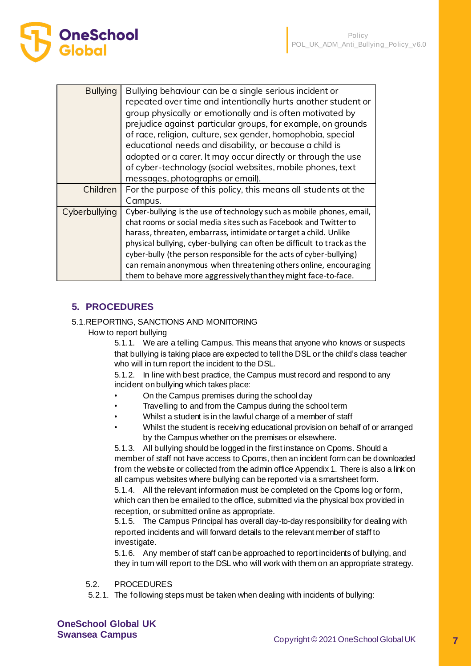| <b>C</b> neSchool |  |  |  |
|-------------------|--|--|--|
| <b>Global</b>     |  |  |  |

| <b>Bullying</b> | Bullying behaviour can be a single serious incident or<br>repeated over time and intentionally hurts another student or<br>group physically or emotionally and is often motivated by<br>prejudice against particular groups, for example, on grounds<br>of race, religion, culture, sex gender, homophobia, special<br>educational needs and disability, or because a child is<br>adopted or a carer. It may occur directly or through the use<br>of cyber-technology (social websites, mobile phones, text<br>messages, photographs or email). |
|-----------------|-------------------------------------------------------------------------------------------------------------------------------------------------------------------------------------------------------------------------------------------------------------------------------------------------------------------------------------------------------------------------------------------------------------------------------------------------------------------------------------------------------------------------------------------------|
| Children        | For the purpose of this policy, this means all students at the<br>Campus.                                                                                                                                                                                                                                                                                                                                                                                                                                                                       |
| Cyberbullying   | Cyber-bullying is the use of technology such as mobile phones, email,<br>chat rooms or social media sites such as Facebook and Twitter to<br>harass, threaten, embarrass, intimidate or target a child. Unlike<br>physical bullying, cyber-bullying can often be difficult to track as the<br>cyber-bully (the person responsible for the acts of cyber-bullying)<br>can remain anonymous when threatening others online, encouraging<br>them to behave more aggressively than they might face-to-face.                                         |

# **5. PROCEDURES**

# 5.1.REPORTING, SANCTIONS AND MONITORING

How to report bullying

5.1.1. We are a telling Campus. This means that anyone who knows or suspects that bullying is taking place are expected to tell the DSL or the child's class teacher who will in turn report the incident to the DSL.

5.1.2. In line with best practice, the Campus must record and respond to any incident on bullying which takes place:

- On the Campus premises during the school day
- Travelling to and from the Campus during the school term
- Whilst a student is in the lawful charge of a member of staff
- Whilst the student is receiving educational provision on behalf of or arranged by the Campus whether on the premises or elsewhere.

5.1.3. All bullying should be logged in the first instance on Cpoms. Should a member of staff not have access to Cpoms, then an incident form can be downloaded from the website or collected from the admin office Appendix 1. There is also a link on all campus websites where bullying can be reported via a smartsheet form.

5.1.4. All the relevant information must be completed on the Cpoms log or form, which can then be emailed to the office, submitted via the physical box provided in reception, or submitted online as appropriate.

5.1.5. The Campus Principal has overall day-to-day responsibility for dealing with reported incidents and will forward details to the relevant member of staff to investigate.

5.1.6. Any member of staff can be approached to report incidents of bullying, and they in turn will report to the DSL who will work with them on an appropriate strategy.

### 5.2. PROCEDURES

5.2.1. The following steps must be taken when dealing with incidents of bullying: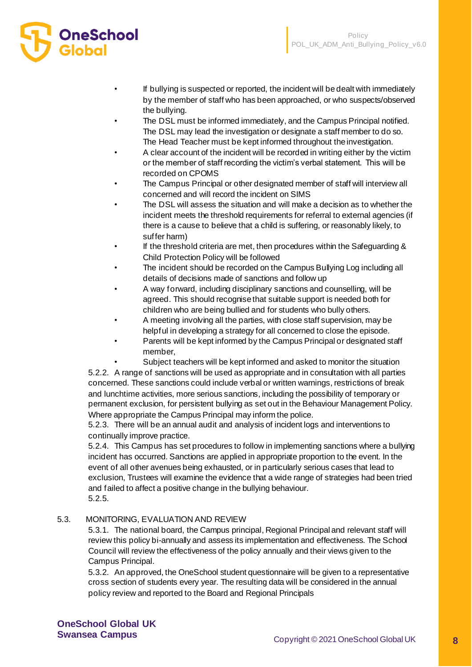

- If bullying is suspected or reported, the incident will be dealt with immediately by the member of staff who has been approached, or who suspects/observed the bullying.
- The DSL must be informed immediately, and the Campus Principal notified. The DSL may lead the investigation or designate a staff member to do so. The Head Teacher must be kept informed throughout the investigation.
- A clear account of the incident will be recorded in writing either by the victim or the member of staff recording the victim's verbal statement. This will be recorded on CPOMS
- The Campus Principal or other designated member of staff will interview all concerned and will record the incident on SIMS
- The DSL will assess the situation and will make a decision as to whether the incident meets the threshold requirements for referral to external agencies (if there is a cause to believe that a child is suffering, or reasonably likely, to suffer harm)
- If the threshold criteria are met, then procedures within the Safeguarding & Child Protection Policy will be followed
- The incident should be recorded on the Campus Bullying Log including all details of decisions made of sanctions and follow up
- A way forward, including disciplinary sanctions and counselling, will be agreed. This should recognise that suitable support is needed both for children who are being bullied and for students who bully others.
- A meeting involving all the parties, with close staff supervision, may be helpful in developing a strategy for all concerned to close the episode.
- Parents will be kept informed by the Campus Principal or designated staff member,
	- Subject teachers will be kept informed and asked to monitor the situation

5.2.2. A range of sanctions will be used as appropriate and in consultation with all parties concerned. These sanctions could include verbal or written warnings, restrictions of break and lunchtime activities, more serious sanctions, including the possibility of temporary or permanent exclusion, for persistent bullying as set out in the Behaviour Management Policy. Where appropriate the Campus Principal may inform the police.

5.2.3. There will be an annual audit and analysis of incident logs and interventions to continually improve practice.

5.2.4. This Campus has set procedures to follow in implementing sanctions where a bullying incident has occurred. Sanctions are applied in appropriate proportion to the event. In the event of all other avenues being exhausted, or in particularly serious cases that lead to exclusion, Trustees will examine the evidence that a wide range of strategies had been tried and failed to affect a positive change in the bullying behaviour. 5.2.5.

### 5.3. MONITORING, EVALUATION AND REVIEW

5.3.1. The national board, the Campus principal, Regional Principal and relevant staff will review this policy bi-annually and assess its implementation and effectiveness. The School Council will review the effectiveness of the policy annually and their views given to the Campus Principal.

5.3.2. An approved, the OneSchool student questionnaire will be given to a representative cross section of students every year. The resulting data will be considered in the annual policy review and reported to the Board and Regional Principals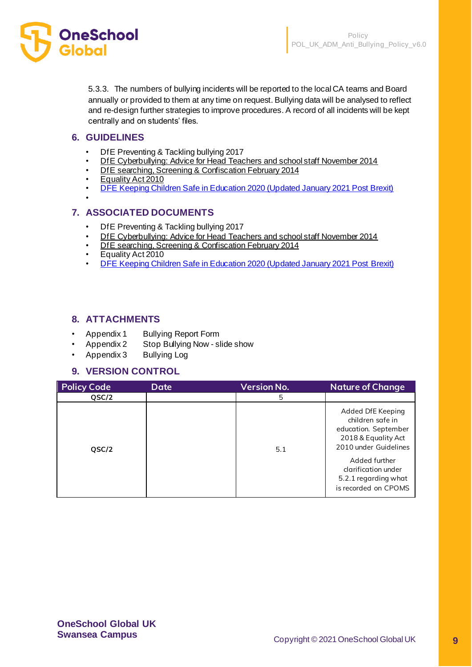

5.3.3. The numbers of bullying incidents will be reported to the local CA teams and Board annually or provided to them at any time on request. Bullying data will be analysed to reflect and re-design further strategies to improve procedures. A record of all incidents will be kept centrally and on students' files.

# **6. GUIDELINES**

- DfE Preventing & Tackling bullying 2017
- [DfE Cyberbullying: Advice for Head Teachers and school staff November 2014](https://www.gov.uk/government/uploads/system/uploads/attachment_data/file/374850/Cyberbullying_Advice_for_Headteachers_and_School_Staff_121114.pdf)
- [DfE searching, Screening & Confiscation February 2014](https://www.gov.uk/government/uploads/system/uploads/attachment_data/file/554415/searching_screening_confiscation_advice_Sept_2016.pdf)
- [Equality Act 2010](http://www.legislation.gov.uk/ukpga/2010/15/contents)
- [DFE Keeping Children Safe in Education 2020 \(Updated January 2021 Post Brexit\)](https://assets.publishing.service.gov.uk/government/uploads/system/uploads/attachment_data/file/954314/Keeping_children_safe_in_education_2020_-_Update_-_January_2021.pdf)
- •

# **7. ASSOCIATED DOCUMENTS**

- DfE Preventing & Tackling bullying 2017
- [DfE Cyberbullying: Advice for Head Teachers and school staff November 2014](https://www.gov.uk/government/uploads/system/uploads/attachment_data/file/374850/Cyberbullying_Advice_for_Headteachers_and_School_Staff_121114.pdf)
- [DfE searching, Screening & Confiscation February 2014](https://www.gov.uk/government/uploads/system/uploads/attachment_data/file/554415/searching_screening_confiscation_advice_Sept_2016.pdf)
- Equality Act 2010
- [DFE Keeping Children Safe in Education 2020 \(Updated January 2021 Post Brexit\)](https://assets.publishing.service.gov.uk/government/uploads/system/uploads/attachment_data/file/954314/Keeping_children_safe_in_education_2020_-_Update_-_January_2021.pdf)

# **8. ATTACHMENTS**

- Appendix 1 Bullying Report Form
- Appendix 2 Stop Bullying Now slide show
- Appendix 3 Bullying Log

# **9. VERSION CONTROL**

| <b>Policy Code</b> | <b>Date</b> | <b>Version No.</b> | <b>Nature of Change</b>                                                                                                                                                                               |
|--------------------|-------------|--------------------|-------------------------------------------------------------------------------------------------------------------------------------------------------------------------------------------------------|
| QSC/2              |             | 5                  |                                                                                                                                                                                                       |
| QSC/2              |             | 5.1                | Added DfE Keeping<br>children safe in<br>education. September<br>2018 & Equality Act<br>2010 under Guidelines<br>Added further<br>clarification under<br>5.2.1 regarding what<br>is recorded on CPOMS |